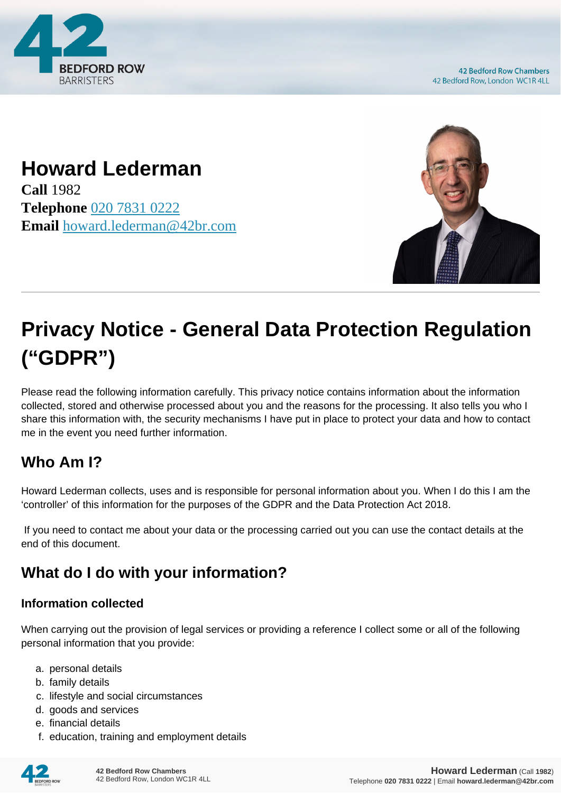

**42 Bedford Row Chambers** 42 Bedford Row, London WC1R 4LL

# **Howard Lederman**

**Call** 1982 **Telephone** [020 7831 0222](https://pdf.codeshore.co/_42br/tel:020 7831 0222) **Email** [howard.lederman@42br.com](mailto:howard.lederman@42br.com)



# **Privacy Notice - General Data Protection Regulation ("GDPR")**

Please read the following information carefully. This privacy notice contains information about the information collected, stored and otherwise processed about you and the reasons for the processing. It also tells you who I share this information with, the security mechanisms I have put in place to protect your data and how to contact me in the event you need further information.

# **Who Am I?**

Howard Lederman collects, uses and is responsible for personal information about you. When I do this I am the 'controller' of this information for the purposes of the GDPR and the Data Protection Act 2018.

 If you need to contact me about your data or the processing carried out you can use the contact details at the end of this document.

# **What do I do with your information?**

#### **Information collected**

When carrying out the provision of legal services or providing a reference I collect some or all of the following personal information that you provide:

- a. personal details
- b. family details
- c. lifestyle and social circumstances
- d. goods and services
- e. financial details
- f. education, training and employment details

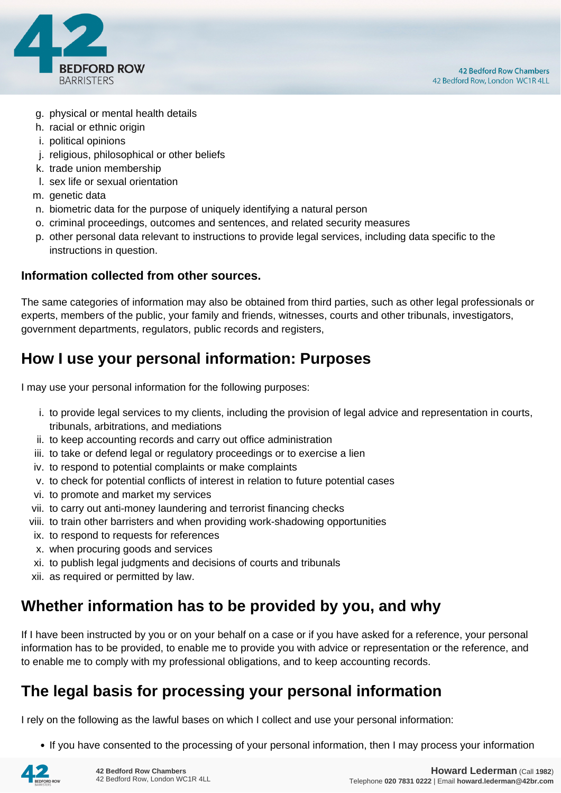

- g. physical or mental health details
- h. racial or ethnic origin
- i. political opinions
- j. religious, philosophical or other beliefs
- k. trade union membership
- l. sex life or sexual orientation
- m. genetic data
- n. biometric data for the purpose of uniquely identifying a natural person
- o. criminal proceedings, outcomes and sentences, and related security measures
- p. other personal data relevant to instructions to provide legal services, including data specific to the instructions in question.

#### **Information collected from other sources.**

The same categories of information may also be obtained from third parties, such as other legal professionals or experts, members of the public, your family and friends, witnesses, courts and other tribunals, investigators, government departments, regulators, public records and registers,

#### **How I use your personal information: Purposes**

I may use your personal information for the following purposes:

- i. to provide legal services to my clients, including the provision of legal advice and representation in courts, tribunals, arbitrations, and mediations
- ii. to keep accounting records and carry out office administration
- iii. to take or defend legal or regulatory proceedings or to exercise a lien
- iv. to respond to potential complaints or make complaints
- v. to check for potential conflicts of interest in relation to future potential cases
- vi. to promote and market my services
- vii. to carry out anti-money laundering and terrorist financing checks
- viii. to train other barristers and when providing work-shadowing opportunities
- ix. to respond to requests for references
- x. when procuring goods and services
- xi. to publish legal judgments and decisions of courts and tribunals
- xii. as required or permitted by law.

#### **Whether information has to be provided by you, and why**

If I have been instructed by you or on your behalf on a case or if you have asked for a reference, your personal information has to be provided, to enable me to provide you with advice or representation or the reference, and to enable me to comply with my professional obligations, and to keep accounting records.

#### **The legal basis for processing your personal information**

I rely on the following as the lawful bases on which I collect and use your personal information:

• If you have consented to the processing of your personal information, then I may process your information

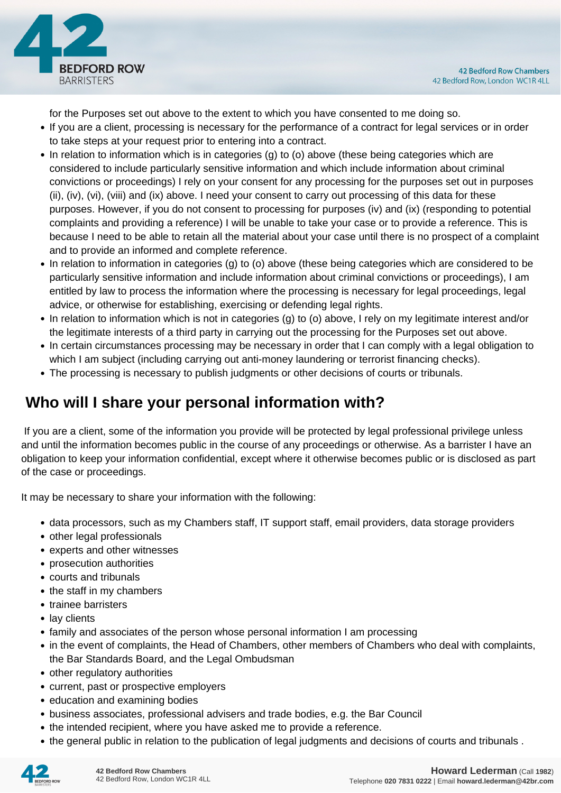

for the Purposes set out above to the extent to which you have consented to me doing so.

- If you are a client, processing is necessary for the performance of a contract for legal services or in order to take steps at your request prior to entering into a contract.
- In relation to information which is in categories (g) to (o) above (these being categories which are considered to include particularly sensitive information and which include information about criminal convictions or proceedings) I rely on your consent for any processing for the purposes set out in purposes (ii), (iv), (vi), (viii) and (ix) above. I need your consent to carry out processing of this data for these purposes. However, if you do not consent to processing for purposes (iv) and (ix) (responding to potential complaints and providing a reference) I will be unable to take your case or to provide a reference. This is because I need to be able to retain all the material about your case until there is no prospect of a complaint and to provide an informed and complete reference.
- In relation to information in categories (g) to (o) above (these being categories which are considered to be particularly sensitive information and include information about criminal convictions or proceedings), I am entitled by law to process the information where the processing is necessary for legal proceedings, legal advice, or otherwise for establishing, exercising or defending legal rights.
- In relation to information which is not in categories (g) to (o) above, I rely on my legitimate interest and/or the legitimate interests of a third party in carrying out the processing for the Purposes set out above.
- In certain circumstances processing may be necessary in order that I can comply with a legal obligation to which I am subject (including carrying out anti-money laundering or terrorist financing checks).
- The processing is necessary to publish judgments or other decisions of courts or tribunals.

### **Who will I share your personal information with?**

 If you are a client, some of the information you provide will be protected by legal professional privilege unless and until the information becomes public in the course of any proceedings or otherwise. As a barrister I have an obligation to keep your information confidential, except where it otherwise becomes public or is disclosed as part of the case or proceedings.

It may be necessary to share your information with the following:

- data processors, such as my Chambers staff, IT support staff, email providers, data storage providers
- other legal professionals
- experts and other witnesses
- prosecution authorities
- courts and tribunals
- the staff in my chambers
- trainee barristers
- lay clients
- family and associates of the person whose personal information I am processing
- in the event of complaints, the Head of Chambers, other members of Chambers who deal with complaints, the Bar Standards Board, and the Legal Ombudsman
- other regulatory authorities
- current, past or prospective employers
- education and examining bodies
- business associates, professional advisers and trade bodies, e.g. the Bar Council
- the intended recipient, where you have asked me to provide a reference.
- the general public in relation to the publication of legal judgments and decisions of courts and tribunals .

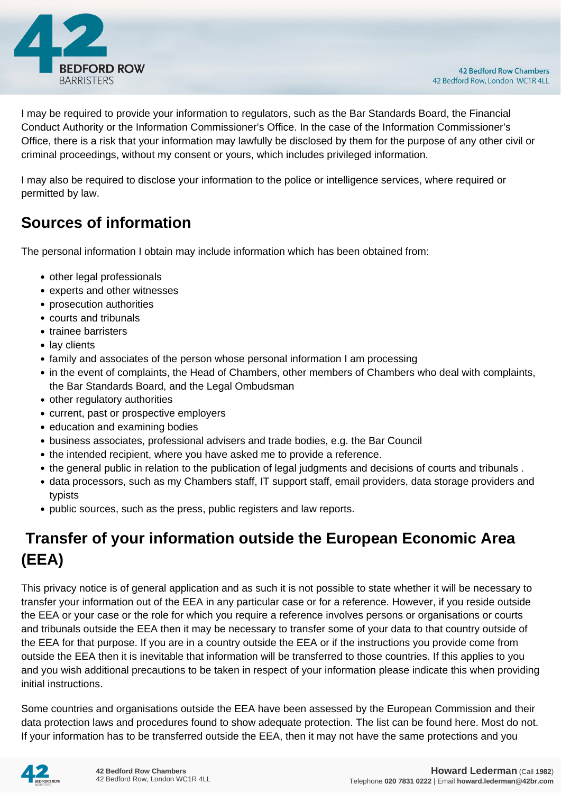

I may be required to provide your information to regulators, such as the Bar Standards Board, the Financial Conduct Authority or the Information Commissioner's Office. In the case of the Information Commissioner's Office, there is a risk that your information may lawfully be disclosed by them for the purpose of any other civil or criminal proceedings, without my consent or yours, which includes privileged information.

I may also be required to disclose your information to the police or intelligence services, where required or permitted by law.

#### **Sources of information**

The personal information I obtain may include information which has been obtained from:

- other legal professionals
- experts and other witnesses
- prosecution authorities
- courts and tribunals
- trainee barristers
- lay clients
- family and associates of the person whose personal information I am processing
- in the event of complaints, the Head of Chambers, other members of Chambers who deal with complaints, the Bar Standards Board, and the Legal Ombudsman
- other regulatory authorities
- current, past or prospective employers
- education and examining bodies
- business associates, professional advisers and trade bodies, e.g. the Bar Council
- the intended recipient, where you have asked me to provide a reference.
- the general public in relation to the publication of legal judgments and decisions of courts and tribunals .
- data processors, such as my Chambers staff, IT support staff, email providers, data storage providers and typists
- public sources, such as the press, public registers and law reports.

# **Transfer of your information outside the European Economic Area (EEA)**

This privacy notice is of general application and as such it is not possible to state whether it will be necessary to transfer your information out of the EEA in any particular case or for a reference. However, if you reside outside the EEA or your case or the role for which you require a reference involves persons or organisations or courts and tribunals outside the EEA then it may be necessary to transfer some of your data to that country outside of the EEA for that purpose. If you are in a country outside the EEA or if the instructions you provide come from outside the EEA then it is inevitable that information will be transferred to those countries. If this applies to you and you wish additional precautions to be taken in respect of your information please indicate this when providing initial instructions.

Some countries and organisations outside the EEA have been assessed by the European Commission and their data protection laws and procedures found to show adequate protection. The list can be found here. Most do not. If your information has to be transferred outside the EEA, then it may not have the same protections and you

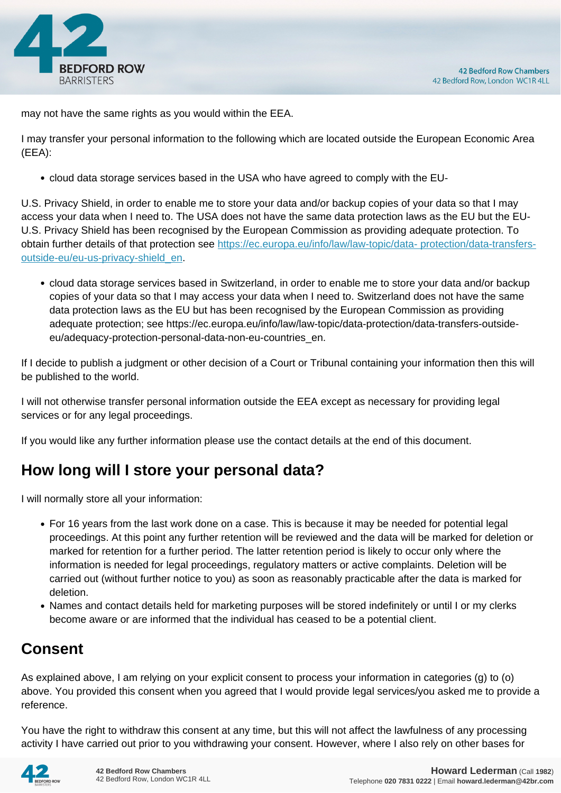

may not have the same rights as you would within the EEA.

I may transfer your personal information to the following which are located outside the European Economic Area (EEA):

cloud data storage services based in the USA who have agreed to comply with the EU-

U.S. Privacy Shield, in order to enable me to store your data and/or backup copies of your data so that I may access your data when I need to. The USA does not have the same data protection laws as the EU but the EU-U.S. Privacy Shield has been recognised by the European Commission as providing adequate protection. To obtain further details of that protection see [https://ec.europa.eu/info/law/law-topic/data- protection/data-transfers](https://ec.europa.eu/info/law/law-topic/data- protection/data-transfers-outside-eu/eu-us-privacy-shield_en)[outside-eu/eu-us-privacy-shield\\_en.](https://ec.europa.eu/info/law/law-topic/data- protection/data-transfers-outside-eu/eu-us-privacy-shield_en)

cloud data storage services based in Switzerland, in order to enable me to store your data and/or backup copies of your data so that I may access your data when I need to. Switzerland does not have the same data protection laws as the EU but has been recognised by the European Commission as providing adequate protection; see https://ec.europa.eu/info/law/law-topic/data-protection/data-transfers-outsideeu/adequacy-protection-personal-data-non-eu-countries\_en.

If I decide to publish a judgment or other decision of a Court or Tribunal containing your information then this will be published to the world.

I will not otherwise transfer personal information outside the EEA except as necessary for providing legal services or for any legal proceedings.

If you would like any further information please use the contact details at the end of this document.

### **How long will I store your personal data?**

I will normally store all your information:

- For 16 years from the last work done on a case. This is because it may be needed for potential legal proceedings. At this point any further retention will be reviewed and the data will be marked for deletion or marked for retention for a further period. The latter retention period is likely to occur only where the information is needed for legal proceedings, regulatory matters or active complaints. Deletion will be carried out (without further notice to you) as soon as reasonably practicable after the data is marked for deletion.
- Names and contact details held for marketing purposes will be stored indefinitely or until I or my clerks become aware or are informed that the individual has ceased to be a potential client.

### **Consent**

As explained above, I am relying on your explicit consent to process your information in categories (g) to (o) above. You provided this consent when you agreed that I would provide legal services/you asked me to provide a reference.

You have the right to withdraw this consent at any time, but this will not affect the lawfulness of any processing activity I have carried out prior to you withdrawing your consent. However, where I also rely on other bases for

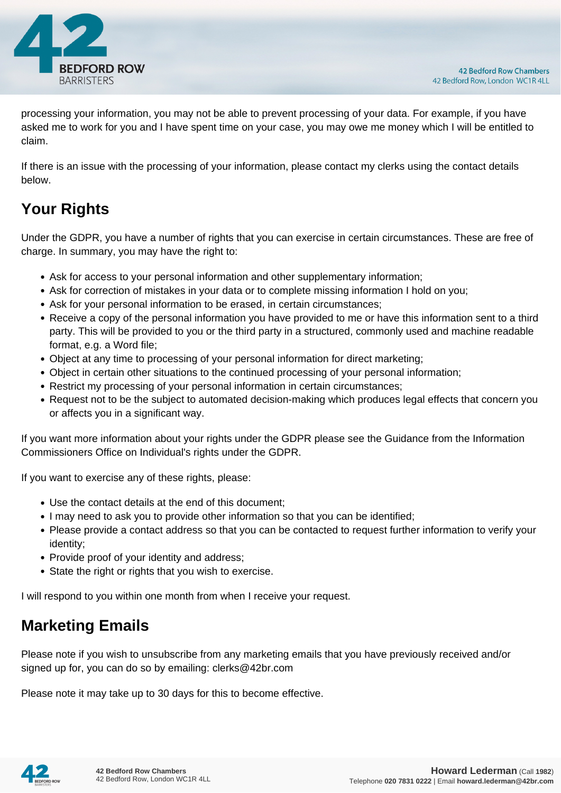

processing your information, you may not be able to prevent processing of your data. For example, if you have asked me to work for you and I have spent time on your case, you may owe me money which I will be entitled to claim.

If there is an issue with the processing of your information, please contact my clerks using the contact details below.

# **Your Rights**

Under the GDPR, you have a number of rights that you can exercise in certain circumstances. These are free of charge. In summary, you may have the right to:

- Ask for access to your personal information and other supplementary information;
- Ask for correction of mistakes in your data or to complete missing information I hold on you;
- Ask for your personal information to be erased, in certain circumstances;
- Receive a copy of the personal information you have provided to me or have this information sent to a third party. This will be provided to you or the third party in a structured, commonly used and machine readable format, e.g. a Word file;
- Object at any time to processing of your personal information for direct marketing;
- Object in certain other situations to the continued processing of your personal information;
- Restrict my processing of your personal information in certain circumstances;
- Request not to be the subject to automated decision-making which produces legal effects that concern you or affects you in a significant way.

If you want more information about your rights under the GDPR please see the Guidance from the Information Commissioners Office on Individual's rights under the GDPR.

If you want to exercise any of these rights, please:

- Use the contact details at the end of this document;
- I may need to ask you to provide other information so that you can be identified;
- Please provide a contact address so that you can be contacted to request further information to verify your identity;
- Provide proof of your identity and address;
- State the right or rights that you wish to exercise.

I will respond to you within one month from when I receive your request.

### **Marketing Emails**

Please note if you wish to unsubscribe from any marketing emails that you have previously received and/or signed up for, you can do so by emailing: clerks@42br.com

Please note it may take up to 30 days for this to become effective.